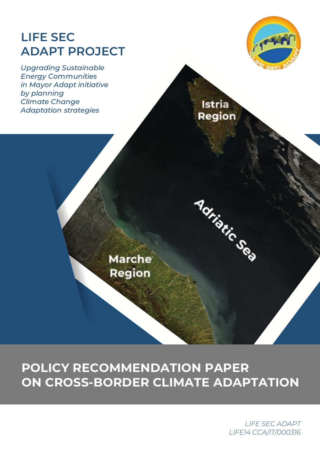# **LIFE SEC ADAPT PROJECT**

*Upgrading Sustainable Energy Communities in Mayor Adapt initiative by planning Climate Change Adaptation strategies*



Istria Region

Adriatic Sea

**Marche** Region

## **POLICY RECOMMENDATION PAPER ON CROSS-BORDER CLIMATE ADAPTATION**

*LIFE SEC ADAPT LIFE14 CCA/IT/000316*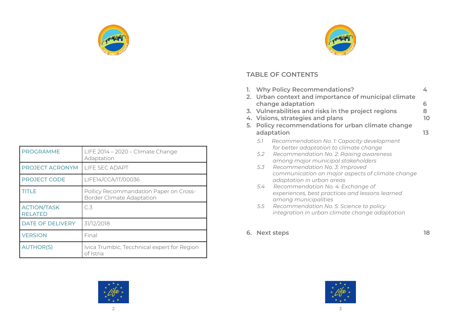

| <b>PROGRAMME</b>                     | LIFE 2014 - 2020 - Climate Change<br>Adaptation                            |
|--------------------------------------|----------------------------------------------------------------------------|
| PROJECT ACRONYM                      | LIFE SEC ADAPT                                                             |
| <b>PROJECT CODE</b>                  | LIFE14/CCA/IT/00036                                                        |
| <b>TITLE</b>                         | Pollicy Recommandation Paper on Cross-<br><b>Border Climate Adaptation</b> |
| <b>ACTION/TASK</b><br><b>RELATED</b> | C.3                                                                        |
| <b>DATE OF DELIVERY</b>              | 31/12/2018                                                                 |
| <b>VERSION</b>                       | Final                                                                      |
| <b>AUTHOR(S)</b>                     | Ivica Trumbic, Tecchnical expert for Region<br>of Istria                   |



## **TABLE OF CONTENTS**

| 5. | 1. Why Policy Recommendations?<br>2. Urban context and importance of municipal climate<br>change adaptation<br>3. Vulnerabilities and risks in the project regions<br>4. Visions, strategies and plans<br>Policy recommendations for urban climate change |                                                                                                                 |    |
|----|-----------------------------------------------------------------------------------------------------------------------------------------------------------------------------------------------------------------------------------------------------------|-----------------------------------------------------------------------------------------------------------------|----|
|    |                                                                                                                                                                                                                                                           | adaptation                                                                                                      | 13 |
|    | 5.1                                                                                                                                                                                                                                                       | Recommendation No. 1: Capacity development<br>for better adaptation to climate change                           |    |
|    | 5.2                                                                                                                                                                                                                                                       | Recommendation No. 2: Raising awareness<br>among major municipal stakeholders                                   |    |
|    | 5.3                                                                                                                                                                                                                                                       | Recommendation No. 3: Improved<br>communication on major aspects of climate change<br>adaptation in urban areas |    |
|    | 5.4                                                                                                                                                                                                                                                       | Recommendation No. 4: Exchange of<br>experiences, best practices and lessons learned<br>among municipalities    |    |
|    | 5.5                                                                                                                                                                                                                                                       | Recommendation No. 5: Science to policy<br>integration in urban climate change adaptation                       |    |

**6. Next steps 18**



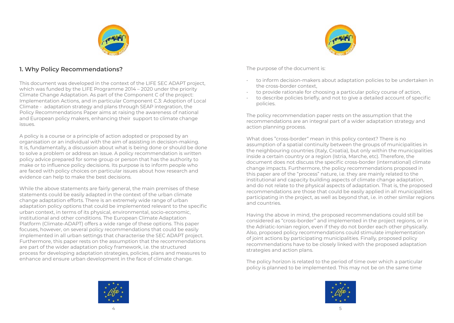

#### **1. Why Policy Recommendations?**

This document was developed in the context of the LIFE SEC ADAPT project, which was funded by the LIFE Programme 2014 – 2020 under the priority Climate Change Adaptation. As part of the Component C of the project: Implementation Actions, and in particular Component C.3: Adoption of Local Climate - adaptation strategy and plans through SEAP integration, the Policy Recommendations Paper aims at raising the awareness of national and European policy makers, enhancing their support to climate change issues.

A policy is a course or a principle of action adopted or proposed by an organisation or an individual with the aim of assisting in decision-making. It is, fundamentally, a discussion about what is being done or should be done to solve a problem or address an issue. A policy recommendation is written policy advice prepared for some group or person that has the authority to make or to influence policy decisions. Its purpose is to inform people who are faced with policy choices on particular issues about how research and evidence can help to make the best decisions.

While the above statements are fairly general, the main premises of these statements could be easily adapted in the context of the urban climate change adaptation efforts. There is an extremely wide range of urban adaptation policy options that could be implemented relevant to the specific urban context, in terms of its physical, environmental, socio-economic, institutional and other conditions. The European Climate Adaptation Platform (Climate-ADAPT) offers a wide range of these options. This paper focuses, however, on several policy recommendations that could be easily implemented in all urban settings that characterise the SEC ADAPT project. Furthermore, this paper rests on the assumption that the recommendations are part of the wider adaptation policy framework, i.e. the structured process for developing adaptation strategies, policies, plans and measures to enhance and ensure urban development in the face of climate change.



The purpose of the document is:

- to inform decision-makers about adaptation policies to be undertaken in the cross-border context,
- to provide rationale for choosing a particular policy course of action,
- to describe policies briefly, and not to give a detailed account of specific policies.

The policy recommendation paper rests on the assumption that the recommendations are an integral part of a wider adaptation strategy and action planning process.

What does "cross-border" mean in this policy context? There is no assumption of a spatial continuity between the groups of municipalities in the neighbouring countries (Italy, Croatia), but only within the municipalities inside a certain country or a region (Istria, Marche, etc). Therefore, the document does not discuss the specific cross-border (international) climate change impacts. Furthermore, the policy recommendations proposed in this paper are of the "process" nature, i.e. they are mainly related to the institutional and capacity building aspects of climate change adaptation, and do not relate to the physical aspects of adaptation. That is, the proposed recommendations are those that could be easily applied in all municipalities participating in the project, as well as beyond that, i.e. in other similar regions and countries.

Having the above in mind, the proposed recommendations could still be considered as "cross-border" and implemented in the project regions, or in the Adriatic-Ionian region, even if they do not border each other physically. Also, proposed policy recommendations could stimulate implementation of joint actions by participating municipalities. Finally, proposed policy recommendations have to be closely linked with the proposed adaptation strategies and action plans.

The policy horizon is related to the period of time over which a particular policy is planned to be implemented. This may not be on the same time

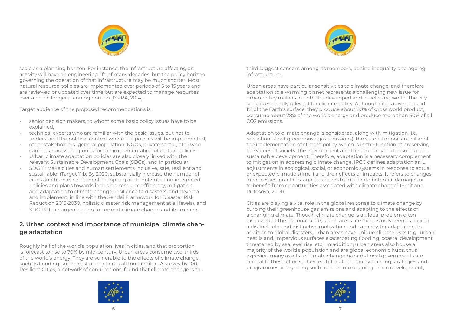



scale as a planning horizon. For instance, the infrastructure affecting an activity will have an engineering life of many decades, but the policy horizon governing the operation of that infrastructure may be much shorter. Most natural resource policies are implemented over periods of 5 to 15 years and are reviewed or updated over time but are expected to manage resources over a much longer planning horizon (ISPRA, 2014).

Target audience of the proposed recommendations is:

- senior decision makers, to whom some basic policy issues have to be explained,
- technical experts who are familiar with the basic issues, but not to understand the political context where the policies will be implemented,
- other stakeholders (general population, NGOs, private sector, etc.) who can make pressure groups for the implementation of certain policies.
- Urban climate adaptation policies are also closely linked with the relevant Sustainable Development Goals (SDGs), and in particular:
- SDG 11: Make cities and human settlements inclusive, safe, resilient and sustainable (Target 11.b: By 2020, substantially increase the number of cities and human settlements adopting and implementing integrated policies and plans towards inclusion, resource efficiency, mitigation and adaptation to climate change, resilience to disasters, and develop and implement, in line with the Sendai Framework for Disaster Risk Reduction 2015-2030, holistic disaster risk management at all levels), and
- SDG 13: Take urgent action to combat climate change and its impacts.

#### **2. Urban context and importance of municipal climate change adaptation**

Roughly half of the world's population lives in cities, and that proportion is forecast to rise to 70% by mid-century. Urban areas consume two-thirds of the world's energy. They are vulnerable to the effects of climate change, such as flooding, so the cost of inaction is all too tangible. A survey by 100 Resilient Cities, a network of conurbations, found that climate change is the



third-biggest concern among its members, behind inequality and ageing infrastructure.

Urban areas have particular sensitivities to climate change, and therefore adaptation to a warming planet represents a challenging new issue for urban policy makers in both the developed and developing world. The city scale is especially relevant for climate policy. Although cities cover around 1% of the Earth's surface, they produce about 80% of gross world product, consume about 78% of the world's energy and produce more than 60% of all CO2 emissions.

Adaptation to climate change is considered, along with mitigation (i.e. reduction of net greenhouse gas emissions), the second important pillar of the implementation of climate policy, which is in the function of preserving the values of society, the environment and the economy and ensuring the sustainable development. Therefore, adaptation is a necessary complement to mitigation in addressing climate change. IPCC defines adaptation as "… adjustments in ecological, social, or economic systems in response to actual or expected climatic stimuli and their effects or impacts. It refers to changes in processes, practices, and structures to moderate potential damages or to benefit from opportunities associated with climate change" (Smit and Pilifosova, 2001).

Cities are playing a vital role in the global response to climate change by curbing their greenhouse gas emissions and adapting to the effects of a changing climate. Though climate change is a global problem often discussed at the national scale, urban areas are increasingly seen as having a distinct role, and distinctive motivation and capacity, for adaptation. In addition to global disasters, urban areas have unique climate risks (e.g., urban heat island, impervious surfaces exacerbating flooding, coastal development threatened by sea level rise, etc.) In addition, urban areas also house a majority of the world's population and are global economic hubs, thus exposing many assets to climate change hazards Local governments are central to these efforts. They lead climate action by framing strategies and programmes, integrating such actions into ongoing urban development,

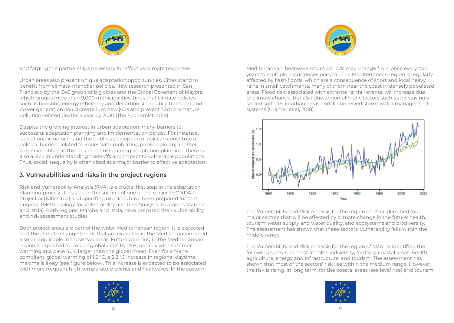



and forging the partnerships necessary for effective climate responses.

Urban areas also present unique adaptation opportunities. Cities stand to benefit from climate-friendlier policies. New research presented in San Francisco by the C40 group of big cities and the Global Covenant of Mayors, which groups more than 9,000 municipalities, finds that climate policies such as boosting energy efficiency and decarbonising public transport and power generation could create 14m new jobs and prevent 1.3m premature pollution-related deaths a year by 2030 (The Economist, 2018).

Despite the growing interest in urban adaptation, many barriers to successful adaptation planning and implementation persist. For instance, lack of public opinion and the public's perception of risk can constitute a political barrier. Related to issues with mobilizing public opinion, another barrier identified is the lack of mainstreaming adaptation planning. There is also a lack in understanding tradeoffs and impact to vulnerable populations. Thus, social inequality is often cited as a major barrier to effective adaptation.

### **3. Vulnerabilities and risks in the project regions**

Risk and Vulnerability Analysis (RVA) is a crucial first step in the adaptation planning process. It has been the subject of one of the earlier SEC ADAPT Project activities (C2) and specific guidelines have been prepared for that purpose (Methodology for Vulnerability and Risk Analysis in Regions Marche and Istria). Both regions, Marche and Istria, have prepared their vulnerability and risk assessment studies.

Both project areas are part of the wider Mediterranean region. It is expected that the climate change trends that are expected in the Mediterranean could also be applicable in those two areas. Future warming in the Mediterranean region is expected to exceed global rates by 25%, notably with summer warming at a pace 40% larger than the global mean. Even for a 'Pariscompliant' global warming of 1.5 °C, a 2.2 °C increase in regional daytime maxima is likely (see figure below). This increase is expected to be associated with more frequent high-temperature events and heatwaves. In the eastern



Mediterranean, heatwave return periods may change from once every two years to multiple occurrences per year. The Mediterranean region is regularly affected by flash floods, which are a consequence of short and local heavy rains in small catchments, many of them near the coast in densely populated areas. Flood risk, associated with extreme rainfall events, will increase due to climate change, but also due to non-climatic factors such as increasingly sealed surfaces in urban areas and ill-conceived storm-water management systems (Cramer et al, 2018).



The Vulnerability and Risk Analysis for the region of Istria identified four major sectors that will be affected by climate change in the future: health, tourism, water supply and water quality, and ecosystems and biodiversity. The assessment has shown that these sectors' vulnerability falls within the middle range.

The Vulnerability and Risk Analysis for the region of Marche identified the following sectors as most at risk: biodiversity, territory, coastal areas, health, agriculture, energy and infrastructure, and tourism. The assessment has shown that most of the sectors' risk lies within the medium range. However, the risk is rising, in long term, for the coastal areas (sea level rise) and tourism.

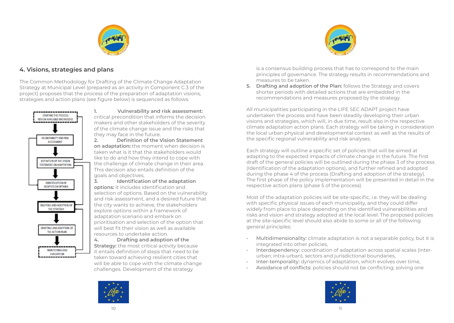

## **4. Visions, strategies and plans**

The Common Methodology for Drafting of the Climate Change Adaptation Strategy at Municipal Level (prepared as an activity in Component C.3 of the project) proposes that the process of the preparation of adaptation visions, strategies and action plans (see figure below) is sequenced as follows:



**1. Vulnerability and risk assessment:** critical precondition that informs the decision makers and other stakeholders of the severity of the climate change issue and the risks that they may face in the future.

**2. Definition of the Vision Statement on adaptation:** the moment when decision is taken what is it that the stakeholders would like to do and how they intend to cope with the challenge of climate change in their area. This decision also entails definition of the goals and objectives.

**3. Identification of the adaptation options:** it includes identification and selection of options. Based on the vulnerability and risk assessment, and a desired future that the city wants to achieve, the stakeholders explore options within a framework of adaptation scenario and embark on prioritisation and selection of the option that will best fit their vision as well as available resources to undertake action.

**4. Drafting and adoption of the Strategy:** the most critical activity because it entails definition of steps that need to be taken toward achieving resilient cities that will be able to cope with the climate change challenges. Development of the strategy



is a consensus building process that has to correspond to the main principles of governance. The strategy results in recommendations and measures to be taken.

**5. Drafting and adoption of the Plan:** follows the Strategy and covers shorter periods with detailed actions that are embedded in the recommendations and measures proposed by the strategy.

All municipalities participating in the LIFE SEC ADAPT project have undertaken the process and have been steadily developing their urban visions and strategies, which will, in due time, result also in the respective climate adaptation action plans. Each strategy will be taking in consideration the local urban physical and developmental context as well as the results of the specific regional vulnerability and risk analyses.

Each strategy will outline a specific set of policies that will be aimed at adapting to the expected impacts of climate change in the future. The first draft of the general policies will be outlined during the phase 3 of the process (Identification of the adaptation options), and further refined and adopted during the phase 4 of the process (Drafting and adoption of the strategy). The first phase of the policy implementation will be presented in detail in the respective action plans (phase 5 of the process).

Most of the adaptation policies will be site-specific, i.e. they will be dealing with specific physical issues of each municipality, and they could differ widely from place to place depending on the identified vulnerabilities and risks and vision and strategy adopted at the local level. The proposed policies at the site-specific level should also abide to some or all of the following general principles:

- Multidimensionality: climate adaptation is not a separable policy, but it is integrated into other policies,
- Interdependency: coordination of adaptation across spatial scales (interurban; intra-urban), sectors and jurisdictional boundaries,
- Inter-temporality: dynamics of adaptation, which evolves over time,
- Avoidance of conflicts: policies should not be conflicting; solving one

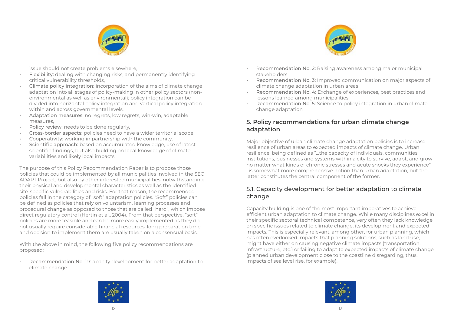

issue should not create problems elsewhere,

- Flexibility: dealing with changing risks, and permanently identifying critical vulnerability thresholds,
- Climate policy integration: incorporation of the aims of climate change adaptation into all stages of policy-making in other policy sectors (nonenvironmental as well as environmental); policy integration can be divided into horizontal policy integration and vertical policy integration within and across governmental levels.
- Adaptation measures: no regrets, low regrets, win-win, adaptable measures,
- Policy review: needs to be done regularly,
- Cross-border aspects: policies need to have a wider territorial scope,
- Cooperativity: working in partnership with the community,
- Scientific approach: based on accumulated knowledge, use of latest scientific findings, but also building on local knowledge of climate variabilities and likely local impacts.

The purpose of this Policy Recommendation Paper is to propose those policies that could be implemented by all municipalities involved in the SEC ADAPT Project, but also by other interested municipalities, notwithstanding their physical and developmental characteristics as well as the identified site-specific vulnerabilities and risks. For that reason, the recommended policies fall in the category of "soft" adaptation policies. "Soft" policies can be defined as policies that rely on voluntarism, learning processes and procedural change as opposed to those that are called "hard", which impose direct regulatory control (Hertin et al., 2004). From that perspective, "soft" policies are more feasible and can be more easily implemented as they do not usually require considerable financial resources, long preparation time and decision to implement them are usually taken on a consensual basis.

With the above in mind, the following five policy recommendations are proposed:

• Recommendation No. 1: Capacity development for better adaptation to climate change



- Recommendation No. 2: Raising awareness among major municipal stakeholders
- Recommendation No. 3: Improved communication on major aspects of climate change adaptation in urban areas
- Recommendation No. 4: Exchange of experiences, best practices and lessons learned among municipalities
- Recommendation No. 5: Science to policy integration in urban climate change adaptation

#### **5. Policy recommendations for urban climate change adaptation**

Major objective of urban climate change adaptation policies is to increase resilience of urban areas to expected impacts of climate change. Urban resilience, being defined as "…the capacity of individuals, communities, institutions, businesses and systems within a city to survive, adapt, and grow no matter what kinds of chronic stresses and acute shocks they experience" , is somewhat more comprehensive notion than urban adaptation, but the latter constitutes the central component of the former.

#### 5.1. Capacity development for better adaptation to climate change

Capacity building is one of the most important imperatives to achieve efficient urban adaptation to climate change. While many disciplines excel in their specific sectoral technical competence, very often they lack knowledge on specific issues related to climate change, its development and expected impacts. This is especially relevant, among other, for urban planning, which has often overlooked impacts that planning solutions, such as land use, might have either on causing negative climate impacts (transportation, infrastructure, etc.) or failing to adapt to expected impacts of climate change (planned urban development close to the coastline disregarding, thus, impacts of sea level rise, for example).



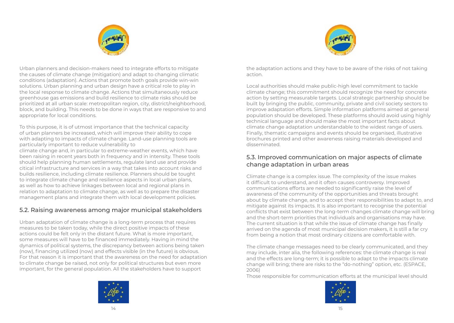



Urban planners and decision-makers need to integrate efforts to mitigate the causes of climate change (mitigation) and adapt to changing climatic conditions (adaptation). Actions that promote both goals provide win-win solutions. Urban planning and urban design have a critical role to play in the local response to climate change. Actions that simultaneously reduce greenhouse gas emissions and build resilience to climate risks should be prioritized at all urban scale: metropolitan region, city, district/neighborhood, block, and building. This needs to be done in ways that are responsive to and appropriate for local conditions.

To this purpose, it is of utmost importance that the technical capacity of urban planners be increased, which will improve their ability to cope with adapting to impacts of climate change. Land-use planning tools are particularly important to reduce vulnerability to

climate change and, in particular to extreme-weather events, which have been raising in recent years both in frequency and in intensity. These tools should help planning human settlements, regulate land use and provide citical infrastructure and services in a way that takes into account risks and builds resilience, including climate resilience. Planners should be tought to integrate climate change and resilience aspects in local urban plans, as well as how to achieve linkages between local and regional plans in relation to adaptation to climate change, as well as to prepare the disaster management plans and integrate them with local development policies.

## 5.2. Raising awareness among major municipal stakeholders

Urban adaptation of climate change is a long-term process that requires measures to be taken today, while the direct positive impacts of these actions could be felt only in the distant future. What is more important, some measures will have to be financed immediately. Having in mind the dynamics of political systems, the discrepancy between actions being taken (now), financing utilized (now) and effects visible (in the future) is obvious. For that reason it is important that the awareness on the need for adaptation to climate change be raised, not only for political structures but even more important, for the general population. All the stakeholders have to support



Local authorities should make public-high level commitment to tackle climate change; this commitment should recognize the need for concrete action by setting measurable targets. Local strategic partnership should be built by bringing the public, community, private and civil society sectors to improve adaptation efforts. Simple information platforms aimed at general population should be developed. These platforms should avoid using highly technical language and should make the most important facts about climate change adaptation understandable to the widest range of users. Finally, thematic campaigns and events should be organised, illustrative brochures printed and other awareness raising materials developed and disseminated.

#### 5.3. Improved communication on major aspects of climate change adaptation in urban areas

Climate change is a complex issue. The complexity of the issue makes it difficult to understand, and it often causes controversy. Improved communications efforts are needed to significantly raise the level of awareness of the community of the opportunities and threats brought about by climate change, and to accept their responsibilities to adapt to, and mitigate against its impacts. It is also important to recognise the potential conflicts that exist between the long-term changes climate change will bring and the short-term priorities that individuals and organisations may have. The current situation is that while the issue of climate change has finally arrived on the agenda of most municipal decision makers, it is still a far cry from being a notion that most ordinary citizens are comfortable with.

The climate change messages need to be clearly communicated, and they may include, inter alia, the following references: the climate change is real and the effects are long-term; it is possible to adapt to the impacts climate change will bring; there are risks to the "do-nothing" option, etc. (ESPACE, 2006)

Those responsible for communication efforts at the municipal level should



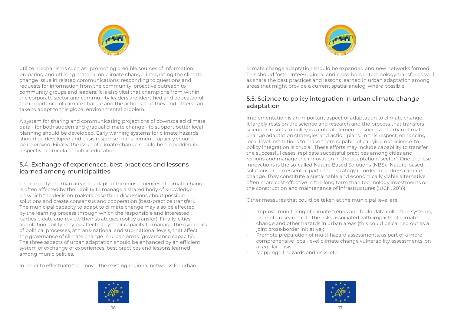



utilize mechanisms such as: promoting credible sources of information; preparing and utilising material on climate change; integrating the climate change issue in related communications; responding to questions and requests for information from the community; proactive outreach to community groups and leaders. It is also vital that champions from within the corporate sector and community leaders are identified and educated of the importance of climate change and the actions that they and others can take to adapt to this global environmental problem.

A system for sharing and communicating projections of downscaled climate data - for both sudden and gradual climate change - to support better local planning should be developed. Early warning systems for climate hazards should be developed and crisis response management capacity should be improved. Finally, the issue of climate change should be embedded in respective curricula of public education.

#### 5.4. Exchange of experiences, best practices and lessons learned among municipalities

The capacity of urban areas to adapt to the consequences of climate change is often affected by their ability to manage a shared body of knowledge on which the decision-makers base their discussions about possible solutions and create consensus and cooperation (best-practice transfer). The municipal capacity to adapt to climate change may also be affected by the learning process through which the responsible and interested parties create and review their strategies (policy transfer). Finally, cities' adaptation ability may be affected by their capacity to manage the dynamics of political processes, at trans-national and sub-national levels, that affect the governance of climate change in urban areas (governance capacity). The three aspects of urban adaptation should be enhanced by an efficient system of exchange of experiences, best practices and lessons learned among municipalities.

In order to effectuate the above, the existing regional networks for urban

climate change adaptation should be expanded and new networks formed. This should foster inter¬regional and cross-border technology transfer as well as share the best practices and lessons learned in urban adaptation among areas that might provide a current spatial analog, where possible.

#### 5.5. Science to policy integration in urban climate change adaptation

Implementation is an important aspect of adaptation to climate change. It largely rests on the science and research and the process that transfers scientific results to policy is a critical element of success of urban climate change adaptation strategies and action plans. In this respect, enhancing local level institutions to make them capable of carrying out science-topolicy integration is crucial. These efforts may include capability to transfer the successful cases, replicate successful practices among cities and regions and manage the innovation in the adaptation "sector". One of these innovations is the so-called Nature Based Solutions (NBS). Nature-based solutions are an essential part of the strategy in order to address climate change. They constitute a sustainable and economically viable alternative, often more cost effective in the long term than technology investments or the construction and maintenance of infrastructures (IUCN, 2016).

Other measures that could be taken at the municipal level are:

- Improve monitoring of climate trends and build data collection systems;
- Promote research into the risks associated with impacts of climate change and other hazards in urban areas (this could be carried out as a joint cross-border initiative);
- Promote preparation of multi-hazard assessments, as part of a more comprehensive local-level climate change vulnerability assessments, on a regular basis;
- Mapping of hazards and risks, etc.



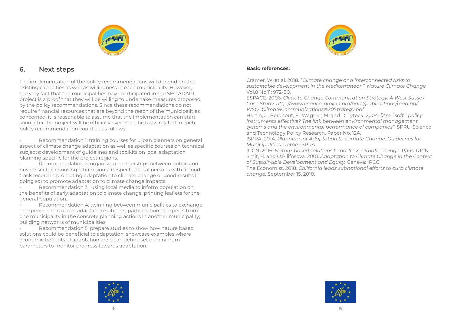

#### **6. Next steps**

The implementation of the policy recommendations will depend on the existing capacities as well as willingness in each municipality. However, the very fact that the municipalities have participated in the SEC ADAPT project is a proof that they will be willing to undertake measures proposed by the policy recommendations. Since these recommendations do not require financial resources that are beyond the reach of the municipalities concerned, it is reasonable to assume that the implementation can start soon after the project will be officially over. Specific tasks related to each policy recommendation could be as follows:

Recommendation 1: training courses for urban planners on general aspect of climate change adaptation as well as specific courses on technical subjects; development of guidelines and toolkits on local adaptation planning specific for the project regions.

Recommendation 2: organising partnerships between public and private sector; choosing "champions" (respected local persons with a good track record in promoting adaptation to climate change or good results in doing so) to promote adaptation to climate change impacts.

Recommendation 3: using local media to inform population on the benefits of early adaptation to climate change; printing leaflets for the general population.

Recommendation 4: twinning between municipalities to exchange of experience on urban adaptation subjects; participation of experts from one municipality in the concrete planning actions in another municipality; building networks of municipalities.

• Recommendation 5: prepare studies to show how nature based solutions could be beneficial to adaptation; showcase examples where economic benefits of adaptation are clear; define set of minimum parameters to monitor progress towards adaptation.



#### **Basic references:**

Cramer, W. et al. 2018. *"Climate change and interconnected risks to sustainable development in the Mediterranean". Nature Climate Change* Vol.8 No.11: 972-80.

ESPACE. 2006. *Climate Change Communication Strategy: A West Sussex Case Study. http://www.espace-project.org/part1/publications/reading/ WSCCClimateCommunications%20Strategy.pdf*

Hertin, J., Berkhout, F., Wagner, M. and D. Tyteca. 2004. *"Are `soft` policy instruments effective? The link between environmental management systems and the environmental performance of companies"*. SPRU-Science and Technology Policy Research. Paper No. 124.

ISPRA. 2014. *Planning for Adaptation to Climate Change: Guidelines for Municipalities*. Rome: ISPRA.

IUCN. 2016. *Nature-based solutions to address climate change.* Paris: IUCN. Smit, B. and O.Pilifosova. 2001. *Adaptation to Climate Change in the Context of Sustainable Development and Equity.* Geneva: IPCC.

The Economist. 2018. *California leads subnational efforts to curb climate change.* September 15, 2018.